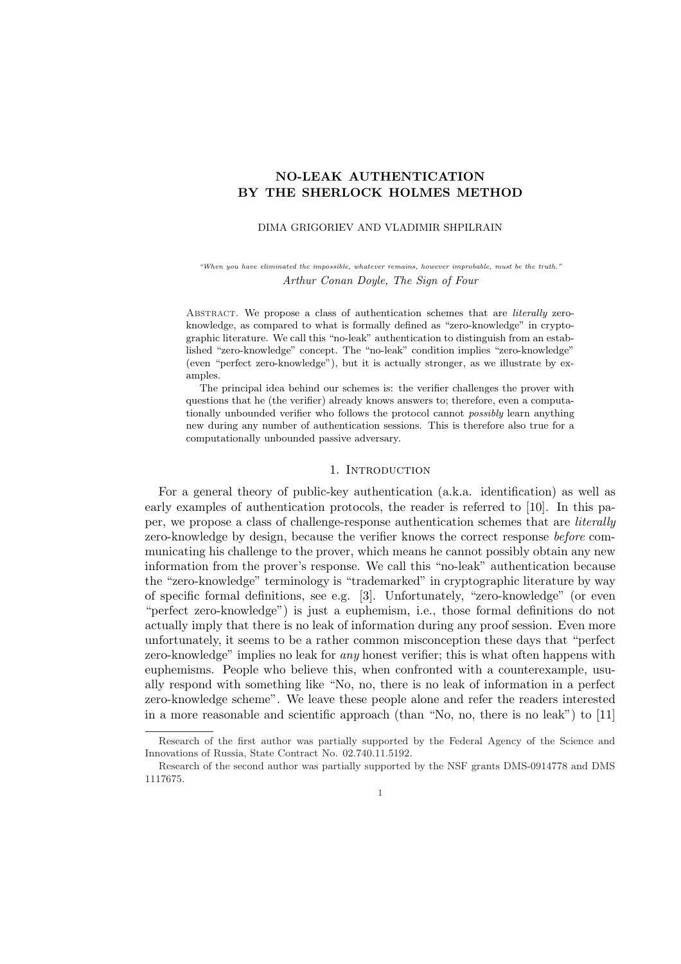# NO-LEAK AUTHENTICATION BY THE SHERLOCK HOLMES METHOD

#### DIMA GRIGORIEV AND VLADIMIR SHPILRAIN

"When you have eliminated the impossible, whatever remains, however improbable, must be the truth." Arthur Conan Doyle, The Sign of Four

ABSTRACT. We propose a class of authentication schemes that are *literally* zeroknowledge, as compared to what is formally defined as "zero-knowledge" in cryptographic literature. We call this "no-leak" authentication to distinguish from an established "zero-knowledge" concept. The "no-leak" condition implies "zero-knowledge" (even "perfect zero-knowledge"), but it is actually stronger, as we illustrate by examples.

The principal idea behind our schemes is: the verifier challenges the prover with questions that he (the verifier) already knows answers to; therefore, even a computationally unbounded verifier who follows the protocol cannot possibly learn anything new during any number of authentication sessions. This is therefore also true for a computationally unbounded passive adversary.

# 1. INTRODUCTION

For a general theory of public-key authentication (a.k.a. identification) as well as early examples of authentication protocols, the reader is referred to [10]. In this paper, we propose a class of challenge-response authentication schemes that are literally zero-knowledge by design, because the verifier knows the correct response before communicating his challenge to the prover, which means he cannot possibly obtain any new information from the prover's response. We call this "no-leak" authentication because the "zero-knowledge" terminology is "trademarked" in cryptographic literature by way of specific formal definitions, see e.g. [3]. Unfortunately, "zero-knowledge" (or even "perfect zero-knowledge") is just a euphemism, i.e., those formal definitions do not actually imply that there is no leak of information during any proof session. Even more unfortunately, it seems to be a rather common misconception these days that "perfect zero-knowledge" implies no leak for *any* honest verifier; this is what often happens with euphemisms. People who believe this, when confronted with a counterexample, usually respond with something like "No, no, there is no leak of information in a perfect zero-knowledge scheme". We leave these people alone and refer the readers interested in a more reasonable and scientific approach (than "No, no, there is no leak") to [11]

Research of the first author was partially supported by the Federal Agency of the Science and Innovations of Russia, State Contract No. 02.740.11.5192.

Research of the second author was partially supported by the NSF grants DMS-0914778 and DMS 1117675.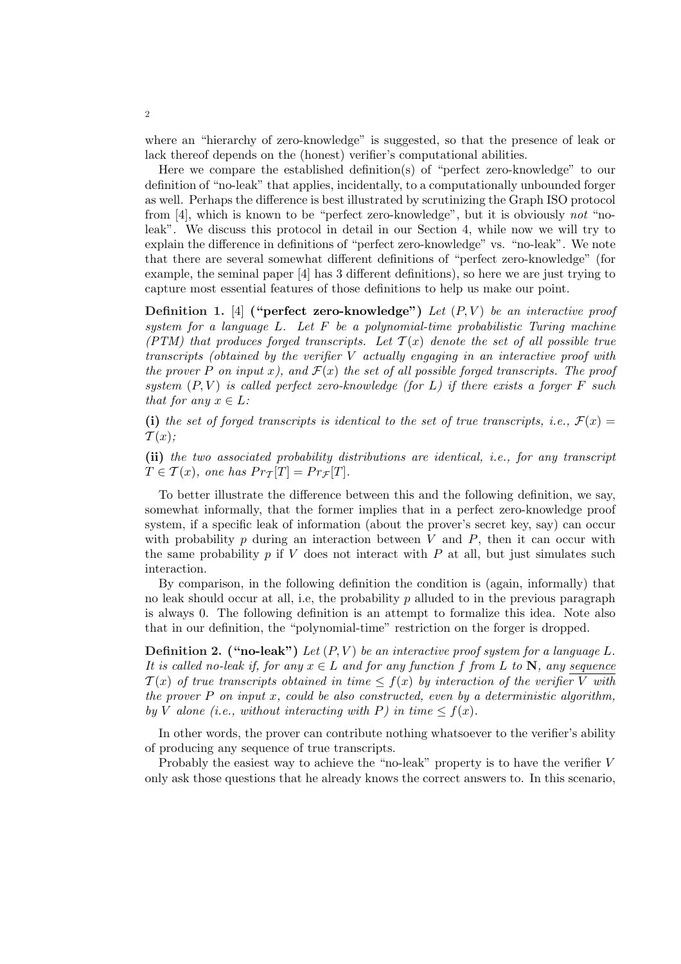where an "hierarchy of zero-knowledge" is suggested, so that the presence of leak or lack thereof depends on the (honest) verifier's computational abilities.

Here we compare the established definition(s) of "perfect zero-knowledge" to our definition of "no-leak" that applies, incidentally, to a computationally unbounded forger as well. Perhaps the difference is best illustrated by scrutinizing the Graph ISO protocol from [4], which is known to be "perfect zero-knowledge", but it is obviously not "noleak". We discuss this protocol in detail in our Section 4, while now we will try to explain the difference in definitions of "perfect zero-knowledge" vs. "no-leak". We note that there are several somewhat different definitions of "perfect zero-knowledge" (for example, the seminal paper [4] has 3 different definitions), so here we are just trying to capture most essential features of those definitions to help us make our point.

Definition 1. [4] ("perfect zero-knowledge") Let  $(P, V)$  be an interactive proof system for a language  $L$ . Let  $F$  be a polynomial-time probabilistic Turing machine (PTM) that produces forged transcripts. Let  $\mathcal{T}(x)$  denote the set of all possible true transcripts (obtained by the verifier  $V$  actually engaging in an interactive proof with the prover P on input x), and  $\mathcal{F}(x)$  the set of all possible forged transcripts. The proof system  $(P, V)$  is called perfect zero-knowledge (for L) if there exists a forger F such that for any  $x \in L$ :

(i) the set of forged transcripts is identical to the set of true transcripts, i.e.,  $\mathcal{F}(x) =$  $\mathcal{T}(x)$ :

(ii) the two associated probability distributions are identical, i.e., for any transcript  $T \in \mathcal{T}(x)$ , one has  $Pr_{\mathcal{T}}[T] = Pr_{\mathcal{F}}[T]$ .

To better illustrate the difference between this and the following definition, we say, somewhat informally, that the former implies that in a perfect zero-knowledge proof system, if a specific leak of information (about the prover's secret key, say) can occur with probability  $p$  during an interaction between  $V$  and  $P$ , then it can occur with the same probability  $p$  if  $V$  does not interact with  $P$  at all, but just simulates such interaction.

By comparison, in the following definition the condition is (again, informally) that no leak should occur at all, i.e, the probability  $p$  alluded to in the previous paragraph is always 0. The following definition is an attempt to formalize this idea. Note also that in our definition, the "polynomial-time" restriction on the forger is dropped.

**Definition 2.** ("no-leak") Let  $(P, V)$  be an interactive proof system for a language L. It is called no-leak if, for any  $x \in L$  and for any function f from L to N, any sequence  $\mathcal{T}(x)$  of true transcripts obtained in time  $\leq f(x)$  by interaction of the verifier V with the prover  $P$  on input x, could be also constructed, even by a deterministic algorithm, by V alone (i.e., without interacting with P) in time  $\leq f(x)$ .

In other words, the prover can contribute nothing whatsoever to the verifier's ability of producing any sequence of true transcripts.

Probably the easiest way to achieve the "no-leak" property is to have the verifier V only ask those questions that he already knows the correct answers to. In this scenario,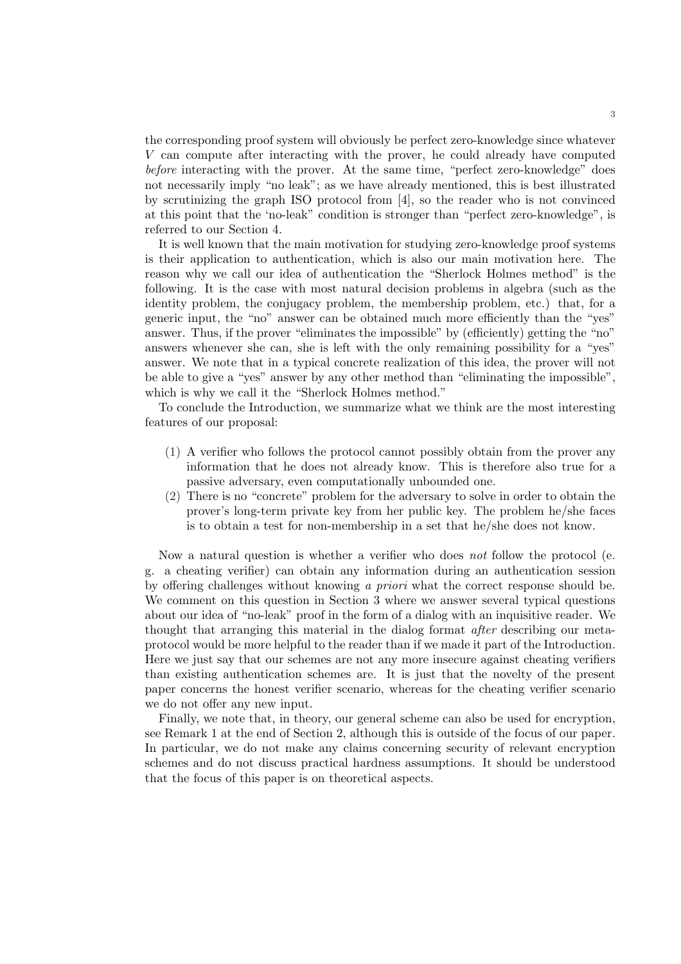the corresponding proof system will obviously be perfect zero-knowledge since whatever V can compute after interacting with the prover, he could already have computed before interacting with the prover. At the same time, "perfect zero-knowledge" does not necessarily imply "no leak"; as we have already mentioned, this is best illustrated by scrutinizing the graph ISO protocol from [4], so the reader who is not convinced at this point that the 'no-leak" condition is stronger than "perfect zero-knowledge", is referred to our Section 4.

It is well known that the main motivation for studying zero-knowledge proof systems is their application to authentication, which is also our main motivation here. The reason why we call our idea of authentication the "Sherlock Holmes method" is the following. It is the case with most natural decision problems in algebra (such as the identity problem, the conjugacy problem, the membership problem, etc.) that, for a generic input, the "no" answer can be obtained much more efficiently than the "yes" answer. Thus, if the prover "eliminates the impossible" by (efficiently) getting the "no" answers whenever she can, she is left with the only remaining possibility for a "yes" answer. We note that in a typical concrete realization of this idea, the prover will not be able to give a "yes" answer by any other method than "eliminating the impossible", which is why we call it the "Sherlock Holmes method."

To conclude the Introduction, we summarize what we think are the most interesting features of our proposal:

- (1) A verifier who follows the protocol cannot possibly obtain from the prover any information that he does not already know. This is therefore also true for a passive adversary, even computationally unbounded one.
- (2) There is no "concrete" problem for the adversary to solve in order to obtain the prover's long-term private key from her public key. The problem he/she faces is to obtain a test for non-membership in a set that he/she does not know.

Now a natural question is whether a verifier who does not follow the protocol (e. g. a cheating verifier) can obtain any information during an authentication session by offering challenges without knowing a priori what the correct response should be. We comment on this question in Section 3 where we answer several typical questions about our idea of "no-leak" proof in the form of a dialog with an inquisitive reader. We thought that arranging this material in the dialog format after describing our metaprotocol would be more helpful to the reader than if we made it part of the Introduction. Here we just say that our schemes are not any more insecure against cheating verifiers than existing authentication schemes are. It is just that the novelty of the present paper concerns the honest verifier scenario, whereas for the cheating verifier scenario we do not offer any new input.

Finally, we note that, in theory, our general scheme can also be used for encryption, see Remark 1 at the end of Section 2, although this is outside of the focus of our paper. In particular, we do not make any claims concerning security of relevant encryption schemes and do not discuss practical hardness assumptions. It should be understood that the focus of this paper is on theoretical aspects.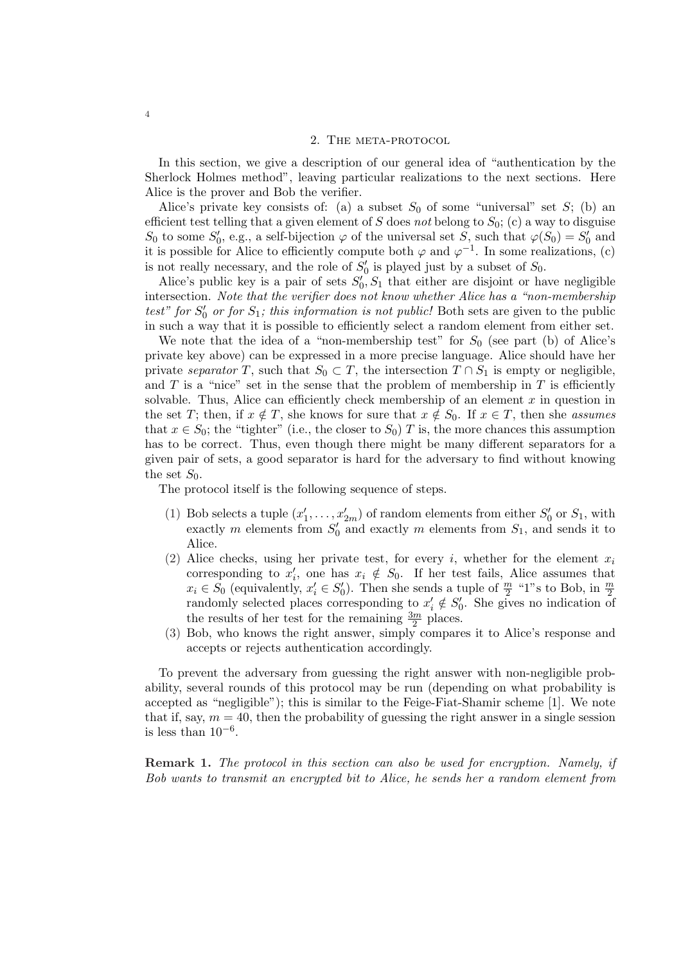#### 2. THE META-PROTOCOL

In this section, we give a description of our general idea of "authentication by the Sherlock Holmes method", leaving particular realizations to the next sections. Here Alice is the prover and Bob the verifier.

Alice's private key consists of: (a) a subset  $S_0$  of some "universal" set S; (b) an efficient test telling that a given element of S does not belong to  $S_0$ ; (c) a way to disguise S<sub>0</sub> to some S'<sub>0</sub>, e.g., a self-bijection  $\varphi$  of the universal set S, such that  $\varphi(S_0) = S'_0$  and it is possible for Alice to efficiently compute both  $\varphi$  and  $\varphi^{-1}$ . In some realizations, (c) is not really necessary, and the role of  $S'_{0}$  is played just by a subset of  $S_{0}$ .

Alice's public key is a pair of sets  $S'_0, S_1$  that either are disjoint or have negligible intersection. Note that the verifier does not know whether Alice has a "non-membership test" for  $S'_0$  or for  $S_1$ ; this information is not public! Both sets are given to the public in such a way that it is possible to efficiently select a random element from either set.

We note that the idea of a "non-membership test" for  $S_0$  (see part (b) of Alice's private key above) can be expressed in a more precise language. Alice should have her private separator T, such that  $S_0 \subset T$ , the intersection  $T \cap S_1$  is empty or negligible, and  $T$  is a "nice" set in the sense that the problem of membership in  $T$  is efficiently solvable. Thus, Alice can efficiently check membership of an element  $x$  in question in the set T; then, if  $x \notin T$ , she knows for sure that  $x \notin S_0$ . If  $x \in T$ , then she assumes that  $x \in S_0$ ; the "tighter" (i.e., the closer to  $S_0$ ) T is, the more chances this assumption has to be correct. Thus, even though there might be many different separators for a given pair of sets, a good separator is hard for the adversary to find without knowing the set  $S_0$ .

The protocol itself is the following sequence of steps.

- (1) Bob selects a tuple  $(x'_1, \ldots, x'_{2m})$  of random elements from either  $S'_0$  or  $S_1$ , with exactly m elements from  $S_0'$  and exactly m elements from  $S_1$ , and sends it to Alice.
- (2) Alice checks, using her private test, for every i, whether for the element  $x_i$ corresponding to  $x'_i$ , one has  $x_i \notin S_0$ . If her test fails, Alice assumes that  $x_i \in S_0$  (equivalently,  $x'_i \in S'_0$ ). Then she sends a tuple of  $\frac{m}{2}$  "1"s to Bob, in  $\frac{m}{2}$ randomly selected places corresponding to  $x'_i \notin S'_0$ . She gives no indication of the results of her test for the remaining  $\frac{3m}{2}$  places.
- (3) Bob, who knows the right answer, simply compares it to Alice's response and accepts or rejects authentication accordingly.

To prevent the adversary from guessing the right answer with non-negligible probability, several rounds of this protocol may be run (depending on what probability is accepted as "negligible"); this is similar to the Feige-Fiat-Shamir scheme [1]. We note that if, say,  $m = 40$ , then the probability of guessing the right answer in a single session is less than  $10^{-6}$ .

Remark 1. The protocol in this section can also be used for encryption. Namely, if Bob wants to transmit an encrypted bit to Alice, he sends her a random element from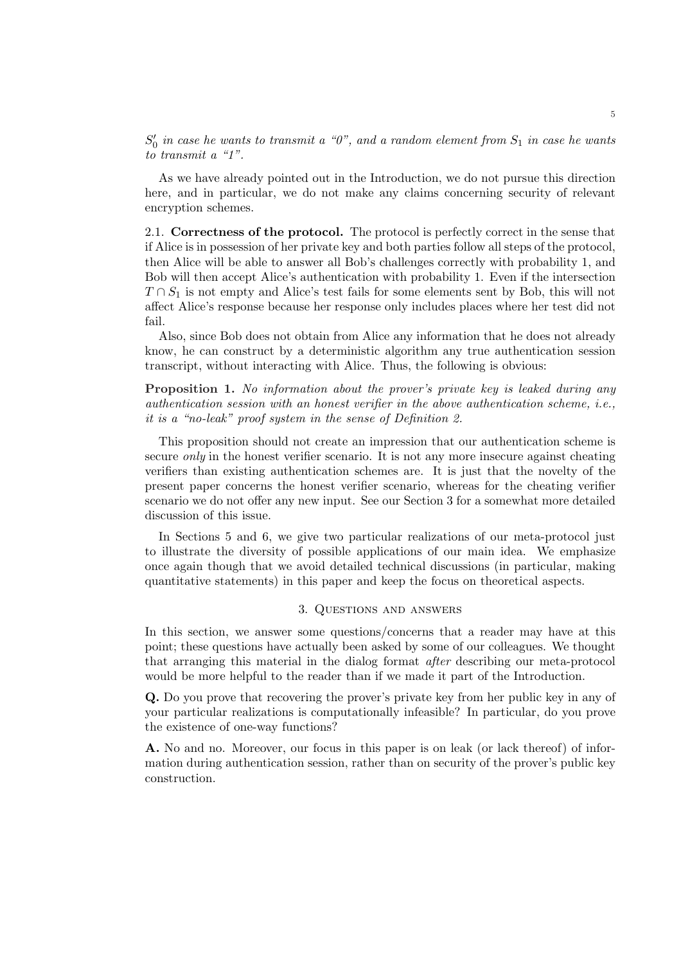$S'_0$  in case he wants to transmit a "0", and a random element from  $S_1$  in case he wants to transmit a "1".

As we have already pointed out in the Introduction, we do not pursue this direction here, and in particular, we do not make any claims concerning security of relevant encryption schemes.

2.1. Correctness of the protocol. The protocol is perfectly correct in the sense that if Alice is in possession of her private key and both parties follow all steps of the protocol, then Alice will be able to answer all Bob's challenges correctly with probability 1, and Bob will then accept Alice's authentication with probability 1. Even if the intersection  $T \cap S_1$  is not empty and Alice's test fails for some elements sent by Bob, this will not affect Alice's response because her response only includes places where her test did not fail.

Also, since Bob does not obtain from Alice any information that he does not already know, he can construct by a deterministic algorithm any true authentication session transcript, without interacting with Alice. Thus, the following is obvious:

**Proposition 1.** No information about the prover's private key is leaked during any authentication session with an honest verifier in the above authentication scheme, i.e., it is a "no-leak" proof system in the sense of Definition 2.

This proposition should not create an impression that our authentication scheme is secure *only* in the honest verifier scenario. It is not any more insecure against cheating verifiers than existing authentication schemes are. It is just that the novelty of the present paper concerns the honest verifier scenario, whereas for the cheating verifier scenario we do not offer any new input. See our Section 3 for a somewhat more detailed discussion of this issue.

In Sections 5 and 6, we give two particular realizations of our meta-protocol just to illustrate the diversity of possible applications of our main idea. We emphasize once again though that we avoid detailed technical discussions (in particular, making quantitative statements) in this paper and keep the focus on theoretical aspects.

## 3. Questions and answers

In this section, we answer some questions/concerns that a reader may have at this point; these questions have actually been asked by some of our colleagues. We thought that arranging this material in the dialog format after describing our meta-protocol would be more helpful to the reader than if we made it part of the Introduction.

Q. Do you prove that recovering the prover's private key from her public key in any of your particular realizations is computationally infeasible? In particular, do you prove the existence of one-way functions?

A. No and no. Moreover, our focus in this paper is on leak (or lack thereof) of information during authentication session, rather than on security of the prover's public key construction.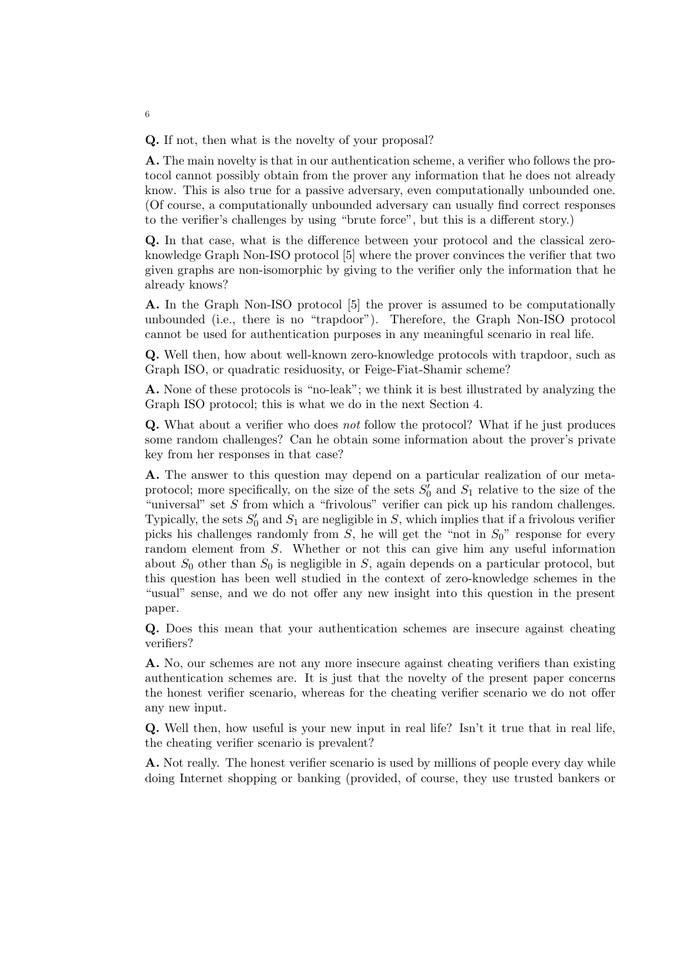Q. If not, then what is the novelty of your proposal?

A. The main novelty is that in our authentication scheme, a verifier who follows the protocol cannot possibly obtain from the prover any information that he does not already know. This is also true for a passive adversary, even computationally unbounded one. (Of course, a computationally unbounded adversary can usually find correct responses to the verifier's challenges by using "brute force", but this is a different story.)

Q. In that case, what is the difference between your protocol and the classical zeroknowledge Graph Non-ISO protocol [5] where the prover convinces the verifier that two given graphs are non-isomorphic by giving to the verifier only the information that he already knows?

A. In the Graph Non-ISO protocol [5] the prover is assumed to be computationally unbounded (i.e., there is no "trapdoor"). Therefore, the Graph Non-ISO protocol cannot be used for authentication purposes in any meaningful scenario in real life.

Q. Well then, how about well-known zero-knowledge protocols with trapdoor, such as Graph ISO, or quadratic residuosity, or Feige-Fiat-Shamir scheme?

A. None of these protocols is "no-leak"; we think it is best illustrated by analyzing the Graph ISO protocol; this is what we do in the next Section 4.

Q. What about a verifier who does not follow the protocol? What if he just produces some random challenges? Can he obtain some information about the prover's private key from her responses in that case?

A. The answer to this question may depend on a particular realization of our metaprotocol; more specifically, on the size of the sets  $S'_0$  and  $S_1$  relative to the size of the "universal" set  $S$  from which a "frivolous" verifier can pick up his random challenges. Typically, the sets  $S'_0$  and  $S_1$  are negligible in S, which implies that if a frivolous verifier picks his challenges randomly from S, he will get the "not in  $S_0$ " response for every random element from S. Whether or not this can give him any useful information about  $S_0$  other than  $S_0$  is negligible in S, again depends on a particular protocol, but this question has been well studied in the context of zero-knowledge schemes in the "usual" sense, and we do not offer any new insight into this question in the present paper.

Q. Does this mean that your authentication schemes are insecure against cheating verifiers?

A. No, our schemes are not any more insecure against cheating verifiers than existing authentication schemes are. It is just that the novelty of the present paper concerns the honest verifier scenario, whereas for the cheating verifier scenario we do not offer any new input.

Q. Well then, how useful is your new input in real life? Isn't it true that in real life, the cheating verifier scenario is prevalent?

A. Not really. The honest verifier scenario is used by millions of people every day while doing Internet shopping or banking (provided, of course, they use trusted bankers or

6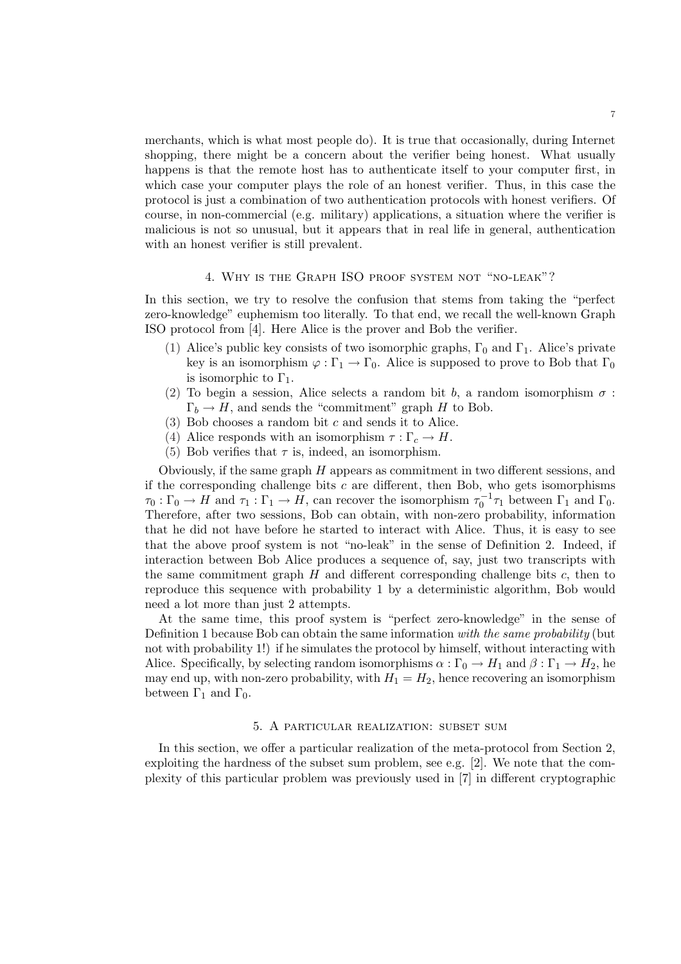merchants, which is what most people do). It is true that occasionally, during Internet shopping, there might be a concern about the verifier being honest. What usually happens is that the remote host has to authenticate itself to your computer first, in which case your computer plays the role of an honest verifier. Thus, in this case the protocol is just a combination of two authentication protocols with honest verifiers. Of course, in non-commercial (e.g. military) applications, a situation where the verifier is malicious is not so unusual, but it appears that in real life in general, authentication with an honest verifier is still prevalent.

# 4. Why is the Graph ISO proof system not "no-leak"?

In this section, we try to resolve the confusion that stems from taking the "perfect zero-knowledge" euphemism too literally. To that end, we recall the well-known Graph ISO protocol from [4]. Here Alice is the prover and Bob the verifier.

- (1) Alice's public key consists of two isomorphic graphs,  $\Gamma_0$  and  $\Gamma_1$ . Alice's private key is an isomorphism  $\varphi : \Gamma_1 \to \Gamma_0$ . Alice is supposed to prove to Bob that  $\Gamma_0$ is isomorphic to  $\Gamma_1$ .
- (2) To begin a session, Alice selects a random bit b, a random isomorphism  $\sigma$ :  $\Gamma_b \to H$ , and sends the "commitment" graph H to Bob.
- (3) Bob chooses a random bit c and sends it to Alice.
- (4) Alice responds with an isomorphism  $\tau : \Gamma_c \to H$ .
- (5) Bob verifies that  $\tau$  is, indeed, an isomorphism.

Obviously, if the same graph  $H$  appears as commitment in two different sessions, and if the corresponding challenge bits  $c$  are different, then Bob, who gets isomorphisms  $\tau_0 : \Gamma_0 \to H$  and  $\tau_1 : \Gamma_1 \to H$ , can recover the isomorphism  $\tau_0^{-1} \tau_1$  between  $\Gamma_1$  and  $\Gamma_0$ . Therefore, after two sessions, Bob can obtain, with non-zero probability, information that he did not have before he started to interact with Alice. Thus, it is easy to see that the above proof system is not "no-leak" in the sense of Definition 2. Indeed, if interaction between Bob Alice produces a sequence of, say, just two transcripts with the same commitment graph  $H$  and different corresponding challenge bits  $c$ , then to reproduce this sequence with probability 1 by a deterministic algorithm, Bob would need a lot more than just 2 attempts.

At the same time, this proof system is "perfect zero-knowledge" in the sense of Definition 1 because Bob can obtain the same information with the same probability (but not with probability 1!) if he simulates the protocol by himself, without interacting with Alice. Specifically, by selecting random isomorphisms  $\alpha : \Gamma_0 \to H_1$  and  $\beta : \Gamma_1 \to H_2$ , he may end up, with non-zero probability, with  $H_1 = H_2$ , hence recovering an isomorphism between  $\Gamma_1$  and  $\Gamma_0$ .

# 5. A particular realization: subset sum

In this section, we offer a particular realization of the meta-protocol from Section 2, exploiting the hardness of the subset sum problem, see e.g. [2]. We note that the complexity of this particular problem was previously used in [7] in different cryptographic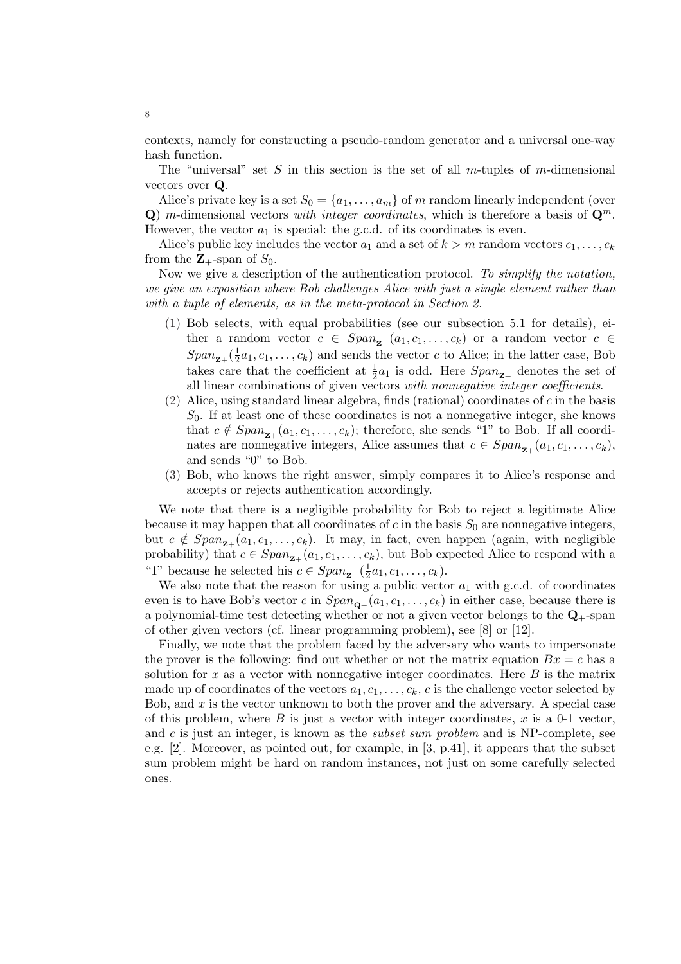contexts, namely for constructing a pseudo-random generator and a universal one-way hash function.

The "universal" set S in this section is the set of all m-tuples of m-dimensional vectors over Q.

Alice's private key is a set  $S_0 = \{a_1, \ldots, a_m\}$  of m random linearly independent (over **Q**) m-dimensional vectors with integer coordinates, which is therefore a basis of  $\mathbf{Q}^m$ . However, the vector  $a_1$  is special: the g.c.d. of its coordinates is even.

Alice's public key includes the vector  $a_1$  and a set of  $k > m$  random vectors  $c_1, \ldots, c_k$ from the  $\mathbb{Z}_{+}$ -span of  $S_0$ .

Now we give a description of the authentication protocol. To simplify the notation, we give an exposition where Bob challenges Alice with just a single element rather than with a tuple of elements, as in the meta-protocol in Section 2.

- (1) Bob selects, with equal probabilities (see our subsection 5.1 for details), either a random vector  $c \in Span_{\mathbf{Z}_{+}}(a_1, c_1, \ldots, c_k)$  or a random vector  $c \in \mathbb{Z}_{+}$  $Span_{\mathbf{Z}^+}(\frac{1}{2})$  $\frac{1}{2}a_1, c_1, \ldots, c_k$  and sends the vector c to Alice; in the latter case, Bob takes care that the coefficient at  $\frac{1}{2}a_1$  is odd. Here  $Span_{\mathbf{z}_+}$  denotes the set of all linear combinations of given vectors with nonnegative integer coefficients.
- (2) Alice, using standard linear algebra, finds (rational) coordinates of c in the basis  $S_0$ . If at least one of these coordinates is not a nonnegative integer, she knows that  $c \notin Span_{\mathbf{Z}_+}(a_1, c_1, \ldots, c_k)$ ; therefore, she sends "1" to Bob. If all coordinates are nonnegative integers, Alice assumes that  $c \in Span_{\mathbf{Z}_+}(a_1, c_1, \ldots, c_k)$ , and sends "0" to Bob.
- (3) Bob, who knows the right answer, simply compares it to Alice's response and accepts or rejects authentication accordingly.

We note that there is a negligible probability for Bob to reject a legitimate Alice because it may happen that all coordinates of  $c$  in the basis  $S_0$  are nonnegative integers, but  $c \notin Span_{\mathbf{Z}_+}(a_1, c_1, \ldots, c_k)$ . It may, in fact, even happen (again, with negligible probability) that  $c \in Span_{\mathbf{Z}_+}(a_1, c_1, \ldots, c_k)$ , but Bob expected Alice to respond with a "1" because he selected his  $c \in Span_{\mathbf{z}_+}(\frac{1}{2})$  $\frac{1}{2}a_1, c_1, \ldots, c_k$ .

We also note that the reason for using a public vector  $a_1$  with g.c.d. of coordinates even is to have Bob's vector c in  $Span_{\mathbf{Q}_+}(a_1, c_1, \ldots, c_k)$  in either case, because there is a polynomial-time test detecting whether or not a given vector belongs to the  $Q_{+}$ -span of other given vectors (cf. linear programming problem), see [8] or [12].

Finally, we note that the problem faced by the adversary who wants to impersonate the prover is the following: find out whether or not the matrix equation  $Bx = c$  has a solution for x as a vector with nonnegative integer coordinates. Here  $B$  is the matrix made up of coordinates of the vectors  $a_1, c_1, \ldots, c_k$ , c is the challenge vector selected by Bob, and x is the vector unknown to both the prover and the adversary. A special case of this problem, where  $B$  is just a vector with integer coordinates,  $x$  is a 0-1 vector, and  $c$  is just an integer, is known as the *subset sum problem* and is NP-complete, see e.g. [2]. Moreover, as pointed out, for example, in [3, p.41], it appears that the subset sum problem might be hard on random instances, not just on some carefully selected ones.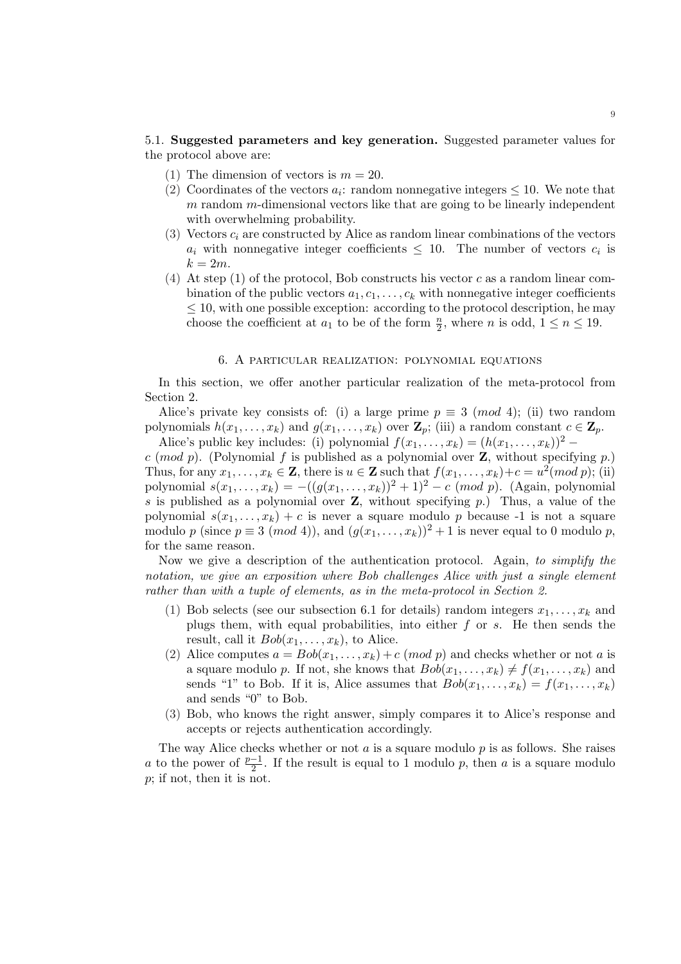5.1. Suggested parameters and key generation. Suggested parameter values for the protocol above are:

- (1) The dimension of vectors is  $m = 20$ .
- (2) Coordinates of the vectors  $a_i$ : random nonnegative integers  $\leq 10$ . We note that m random m-dimensional vectors like that are going to be linearly independent with overwhelming probability.
- (3) Vectors  $c_i$  are constructed by Alice as random linear combinations of the vectors  $a_i$  with nonnegative integer coefficients  $\leq 10$ . The number of vectors  $c_i$  is  $k = 2m$ .
- (4) At step (1) of the protocol, Bob constructs his vector c as a random linear combination of the public vectors  $a_1, c_1, \ldots, c_k$  with nonnegative integer coefficients  $\leq$  10, with one possible exception: according to the protocol description, he may choose the coefficient at  $a_1$  to be of the form  $\frac{n}{2}$ , where n is odd,  $1 \le n \le 19$ .

## 6. A PARTICULAR REALIZATION: POLYNOMIAL EQUATIONS

In this section, we offer another particular realization of the meta-protocol from Section 2.

Alice's private key consists of: (i) a large prime  $p \equiv 3 \pmod{4}$ ; (ii) two random polynomials  $h(x_1, \ldots, x_k)$  and  $g(x_1, \ldots, x_k)$  over  $\mathbf{Z}_p$ ; (iii) a random constant  $c \in \mathbf{Z}_p$ .

Alice's public key includes: (i) polynomial  $f(x_1, \ldots, x_k) = (h(x_1, \ldots, x_k))^2$  – c (mod p). (Polynomial f is published as a polynomial over  $Z$ , without specifying p.) Thus, for any  $x_1, \ldots, x_k \in \mathbb{Z}$ , there is  $u \in \mathbb{Z}$  such that  $f(x_1, \ldots, x_k) + c = u^2 (mod \ p)$ ; (ii) polynomial  $s(x_1, ..., x_k) = -((g(x_1, ..., x_k))^2 + 1)^2 - c \pmod{p}$ . (Again, polynomial s is published as a polynomial over  $Z$ , without specifying  $p$ .) Thus, a value of the polynomial  $s(x_1, \ldots, x_k) + c$  is never a square modulo p because -1 is not a square modulo p (since  $p \equiv 3 \pmod{4}$ ), and  $(g(x_1, \ldots, x_k))^2 + 1$  is never equal to 0 modulo p, for the same reason.

Now we give a description of the authentication protocol. Again, to simplify the notation, we give an exposition where Bob challenges Alice with just a single element rather than with a tuple of elements, as in the meta-protocol in Section 2.

- (1) Bob selects (see our subsection 6.1 for details) random integers  $x_1, \ldots, x_k$  and plugs them, with equal probabilities, into either f or s. He then sends the result, call it  $Bob(x_1, \ldots, x_k)$ , to Alice.
- (2) Alice computes  $a = Bob(x_1, \ldots, x_k) + c \pmod{p}$  and checks whether or not a is a square modulo p. If not, she knows that  $Bob(x_1, \ldots, x_k) \neq f(x_1, \ldots, x_k)$  and sends "1" to Bob. If it is, Alice assumes that  $Bob(x_1, \ldots, x_k) = f(x_1, \ldots, x_k)$ and sends "0" to Bob.
- (3) Bob, who knows the right answer, simply compares it to Alice's response and accepts or rejects authentication accordingly.

The way Alice checks whether or not  $a$  is a square modulo  $p$  is as follows. She raises a to the power of  $\frac{p-1}{2}$ . If the result is equal to 1 modulo p, then a is a square modulo  $p$ ; if not, then it is not.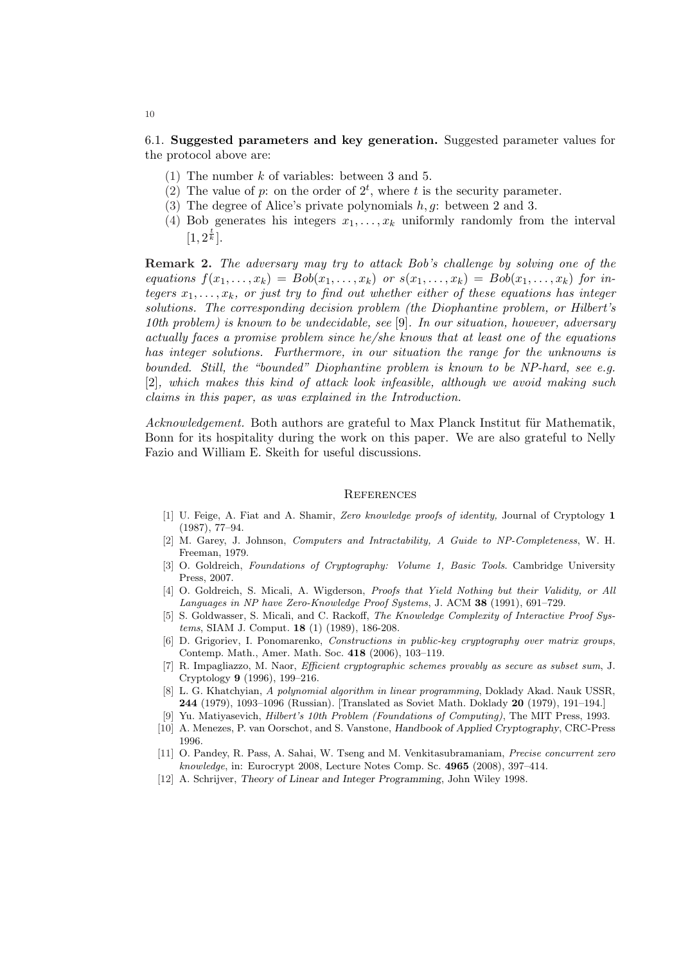6.1. Suggested parameters and key generation. Suggested parameter values for the protocol above are:

- (1) The number k of variables: between 3 and 5.
- (2) The value of p: on the order of  $2^t$ , where t is the security parameter.
- (3) The degree of Alice's private polynomials  $h, g$ : between 2 and 3.
- (4) Bob generates his integers  $x_1, \ldots, x_k$  uniformly randomly from the interval  $[1, 2^{\frac{t}{k}}].$

Remark 2. The adversary may try to attack Bob's challenge by solving one of the equations  $f(x_1, \ldots, x_k) = Bob(x_1, \ldots, x_k)$  or  $s(x_1, \ldots, x_k) = Bob(x_1, \ldots, x_k)$  for integers  $x_1, \ldots, x_k$ , or just try to find out whether either of these equations has integer solutions. The corresponding decision problem (the Diophantine problem, or Hilbert's 10th problem) is known to be undecidable, see [9]. In our situation, however, adversary actually faces a promise problem since he/she knows that at least one of the equations has integer solutions. Furthermore, in our situation the range for the unknowns is bounded. Still, the "bounded" Diophantine problem is known to be NP-hard, see e.g. [2], which makes this kind of attack look infeasible, although we avoid making such claims in this paper, as was explained in the Introduction.

Acknowledgement. Both authors are grateful to Max Planck Institut für Mathematik, Bonn for its hospitality during the work on this paper. We are also grateful to Nelly Fazio and William E. Skeith for useful discussions.

#### **REFERENCES**

- [1] U. Feige, A. Fiat and A. Shamir, Zero knowledge proofs of identity, Journal of Cryptology 1 (1987), 77–94.
- [2] M. Garey, J. Johnson, Computers and Intractability, A Guide to NP-Completeness, W. H. Freeman, 1979.
- [3] O. Goldreich, Foundations of Cryptography: Volume 1, Basic Tools. Cambridge University Press, 2007.
- [4] O. Goldreich, S. Micali, A. Wigderson, Proofs that Yield Nothing but their Validity, or All Languages in NP have Zero-Knowledge Proof Systems, J. ACM 38 (1991), 691–729.
- [5] S. Goldwasser, S. Micali, and C. Rackoff, The Knowledge Complexity of Interactive Proof Systems, SIAM J. Comput. 18 (1) (1989), 186-208.
- [6] D. Grigoriev, I. Ponomarenko, Constructions in public-key cryptography over matrix groups, Contemp. Math., Amer. Math. Soc. 418 (2006), 103–119.
- [7] R. Impagliazzo, M. Naor, Efficient cryptographic schemes provably as secure as subset sum, J. Cryptology 9 (1996), 199–216.
- [8] L. G. Khatchyian, A polynomial algorithm in linear programming, Doklady Akad. Nauk USSR, 244 (1979), 1093–1096 (Russian). [Translated as Soviet Math. Doklady 20 (1979), 191–194.]
- [9] Yu. Matiyasevich, Hilbert's 10th Problem (Foundations of Computing), The MIT Press, 1993.
- [10] A. Menezes, P. van Oorschot, and S. Vanstone, Handbook of Applied Cryptography, CRC-Press 1996.
- [11] O. Pandey, R. Pass, A. Sahai, W. Tseng and M. Venkitasubramaniam, Precise concurrent zero knowledge, in: Eurocrypt 2008, Lecture Notes Comp. Sc. 4965 (2008), 397–414.
- [12] A. Schrijver, Theory of Linear and Integer Programming, John Wiley 1998.

10